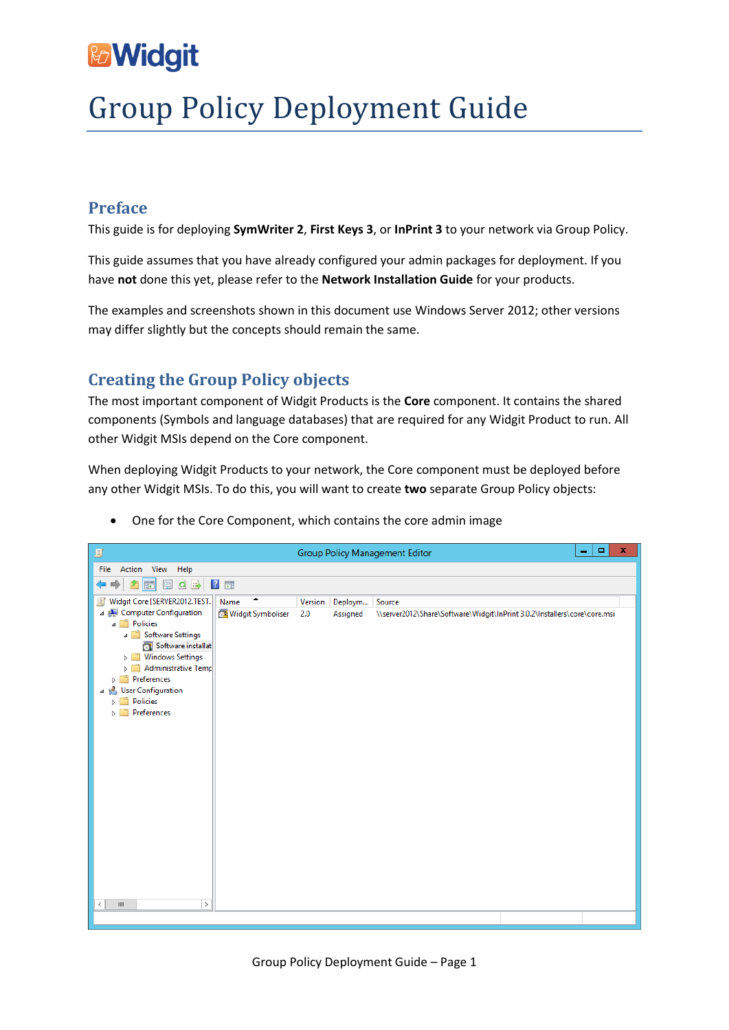# & Widgit

# Group Policy Deployment Guide

# **Preface**

This guide is for deploying **SymWriter 2**, **First Keys 3**, or **InPrint 3** to your network via Group Policy.

This guide assumes that you have already configured your admin packages for deployment. If you have **not** done this yet, please refer to the **Network Installation Guide** for your products.

The examples and screenshots shown in this document use Windows Server 2012; other versions may differ slightly but the concepts should remain the same.

# **Creating the Group Policy objects**

The most important component of Widgit Products is the **Core** component. It contains the shared components (Symbols and language databases) that are required for any Widgit Product to run. All other Widgit MSIs depend on the Core component.

When deploying Widgit Products to your network, the Core component must be deployed before any other Widgit MSIs. To do this, you will want to create **two** separate Group Policy objects:



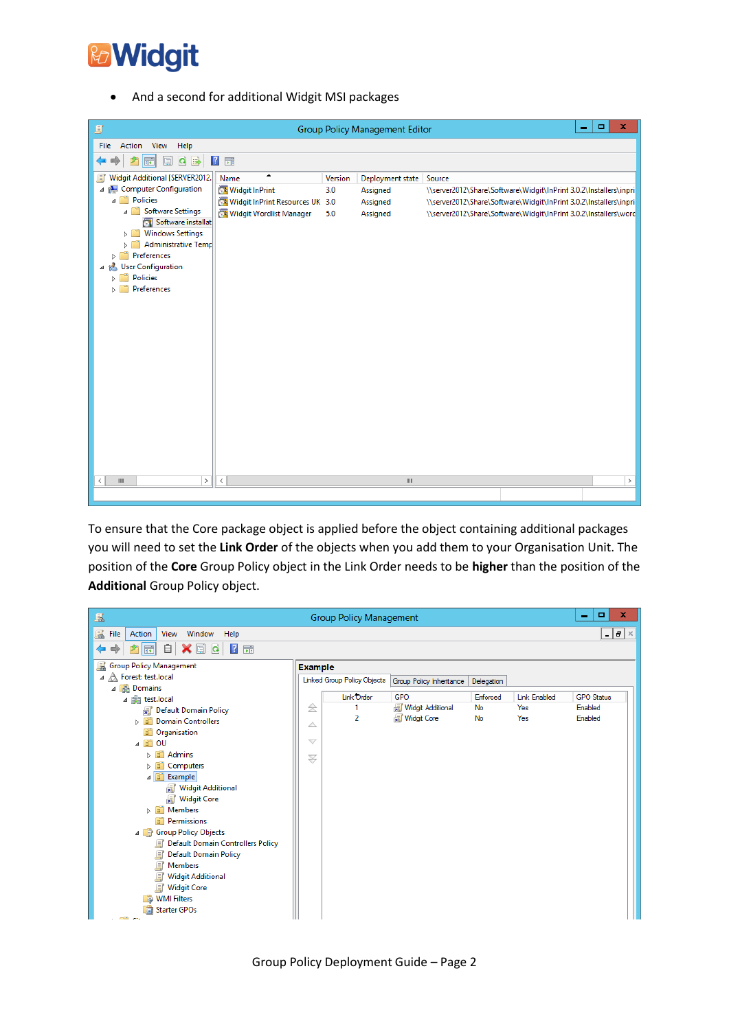

And a second for additional Widgit MSI packages

| g                                                                                                                                                                                                                                                                                                                       |                                                                                           |                       | <b>Group Policy Management Editor</b>                | $\blacksquare$<br>-                                                                                                                                                                                                  | $\mathbf x$ |
|-------------------------------------------------------------------------------------------------------------------------------------------------------------------------------------------------------------------------------------------------------------------------------------------------------------------------|-------------------------------------------------------------------------------------------|-----------------------|------------------------------------------------------|----------------------------------------------------------------------------------------------------------------------------------------------------------------------------------------------------------------------|-------------|
| Action View Help<br>File                                                                                                                                                                                                                                                                                                |                                                                                           |                       |                                                      |                                                                                                                                                                                                                      |             |
| Q<br>国<br>同                                                                                                                                                                                                                                                                                                             | $\overline{?}$<br>$\overrightarrow{F}$                                                    |                       |                                                      |                                                                                                                                                                                                                      |             |
| Widgit Additional [SERVER2012.]<br>圓<br>4 Computer Configuration<br>4 <sup></sup> Policies<br>4 Software Settings<br>Software installat<br><b>Windows Settings</b><br>٥ñ<br>Administrative Temp<br>$\triangleright$ $\square$<br>Preferences<br>D.<br><b>B</b> User Configuration<br>◢<br>Policies<br>Þ.<br>Preferences | ▲<br>Name<br>Widgit InPrint<br>Widgit InPrint Resources UK 3.0<br>Widgit Wordlist Manager | Version<br>3.0<br>5.0 | Deployment state<br>Assigned<br>Assigned<br>Assigned | Source<br>\\server2012\Share\Software\Widgit\InPrint 3.0.2\Installers\inpri<br>\\server2012\Share\Software\Widgit\InPrint 3.0.2\Installers\inpri<br>\\server2012\Share\Software\Widgit\InPrint 3.0.2\Installers\word |             |
| $\,>\,$<br>Ш<br>≺                                                                                                                                                                                                                                                                                                       | $\,<$                                                                                     |                       | $\ensuremath{\mathsf{III}}\xspace$                   |                                                                                                                                                                                                                      | $\,$        |
|                                                                                                                                                                                                                                                                                                                         |                                                                                           |                       |                                                      |                                                                                                                                                                                                                      |             |

To ensure that the Core package object is applied before the object containing additional packages you will need to set the **Link Order** of the objects when you add them to your Organisation Unit. The position of the **Core** Group Policy object in the Link Order needs to be **higher** than the position of the **Additional** Group Policy object.

| 區                                                                                                                                                                                                                                                                                                                                                                                                                                    | <b>Group Policy Management</b> | о<br>x<br>-                                                           |                            |          |              |                   |  |  |  |  |
|--------------------------------------------------------------------------------------------------------------------------------------------------------------------------------------------------------------------------------------------------------------------------------------------------------------------------------------------------------------------------------------------------------------------------------------|--------------------------------|-----------------------------------------------------------------------|----------------------------|----------|--------------|-------------------|--|--|--|--|
| 區<br>Action<br>Window<br>File<br>View<br>Help                                                                                                                                                                                                                                                                                                                                                                                        |                                |                                                                       |                            |          |              |                   |  |  |  |  |
| $\begin{array}{c c c c c c c c c} \hline \mathbf{H} & \mathbf{H} & \mathbf{H} & \mathbf{H} \\ \hline \mathbf{H} & \mathbf{H} & \mathbf{H} & \mathbf{H} & \mathbf{H} \\ \hline \mathbf{H} & \mathbf{H} & \mathbf{H} & \mathbf{H} & \mathbf{H} \\ \hline \mathbf{H} & \mathbf{H} & \mathbf{H} & \mathbf{H} & \mathbf{H} \\ \hline \mathbf{H} & \mathbf{H} & \mathbf{H} & \mathbf{H} & \mathbf{H} & \mathbf{H} \\ \hline \mathbf{$<br>圖 |                                |                                                                       |                            |          |              |                   |  |  |  |  |
| <b>Group Policy Management</b><br>国<br>$\blacktriangle$ Forest: test.local                                                                                                                                                                                                                                                                                                                                                           |                                | <b>Example</b>                                                        |                            |          |              |                   |  |  |  |  |
|                                                                                                                                                                                                                                                                                                                                                                                                                                      |                                | Linked Group Policy Objects<br>Group Policy Inheritance<br>Delegation |                            |          |              |                   |  |  |  |  |
| 4 Domains                                                                                                                                                                                                                                                                                                                                                                                                                            |                                | <b>Link Order</b>                                                     | GPO                        | Enforced | Link Enabled | <b>GPO</b> Status |  |  |  |  |
| ⊿ 前 test.local<br>氭<br><b>Default Domain Policy</b>                                                                                                                                                                                                                                                                                                                                                                                  |                                |                                                                       | <b>新</b> Widgit Additional | No       | Yes          | Enabled           |  |  |  |  |
| <b>Domain Controllers</b><br>d fi                                                                                                                                                                                                                                                                                                                                                                                                    | △                              | $\overline{2}$                                                        | <b>新</b> Widgit Core       | No       | Yes          | Enabled           |  |  |  |  |
| Organisation<br>GŤ                                                                                                                                                                                                                                                                                                                                                                                                                   |                                |                                                                       |                            |          |              |                   |  |  |  |  |
| 4 E<br>OU                                                                                                                                                                                                                                                                                                                                                                                                                            |                                |                                                                       |                            |          |              |                   |  |  |  |  |
| Gñ<br><b>Admins</b>                                                                                                                                                                                                                                                                                                                                                                                                                  |                                |                                                                       |                            |          |              |                   |  |  |  |  |
| Computers<br>Gî<br>d<br>$\triangle$ $\Box$ Example                                                                                                                                                                                                                                                                                                                                                                                   |                                |                                                                       |                            |          |              |                   |  |  |  |  |
| <b>Widgit Additional</b><br>鄡                                                                                                                                                                                                                                                                                                                                                                                                        |                                |                                                                       |                            |          |              |                   |  |  |  |  |
| Widgit Core                                                                                                                                                                                                                                                                                                                                                                                                                          |                                |                                                                       |                            |          |              |                   |  |  |  |  |
| d di<br><b>Members</b>                                                                                                                                                                                                                                                                                                                                                                                                               |                                |                                                                       |                            |          |              |                   |  |  |  |  |
| Permissions<br>٦î                                                                                                                                                                                                                                                                                                                                                                                                                    |                                |                                                                       |                            |          |              |                   |  |  |  |  |
| <b>Group Policy Objects</b><br>$\overline{4}$<br><b>Default Domain Controllers Policy</b>                                                                                                                                                                                                                                                                                                                                            |                                |                                                                       |                            |          |              |                   |  |  |  |  |
| 眞<br><b>Default Domain Policy</b><br>眞                                                                                                                                                                                                                                                                                                                                                                                               |                                |                                                                       |                            |          |              |                   |  |  |  |  |
| 眞<br>Members                                                                                                                                                                                                                                                                                                                                                                                                                         |                                |                                                                       |                            |          |              |                   |  |  |  |  |
| 眞<br><b>Widgit Additional</b>                                                                                                                                                                                                                                                                                                                                                                                                        |                                |                                                                       |                            |          |              |                   |  |  |  |  |
| 目<br><b>Widgit Core</b>                                                                                                                                                                                                                                                                                                                                                                                                              |                                |                                                                       |                            |          |              |                   |  |  |  |  |
| <b>WMI Filters</b>                                                                                                                                                                                                                                                                                                                                                                                                                   |                                |                                                                       |                            |          |              |                   |  |  |  |  |
| <b>Starter GPOs</b><br><b>CALCO</b>                                                                                                                                                                                                                                                                                                                                                                                                  |                                |                                                                       |                            |          |              |                   |  |  |  |  |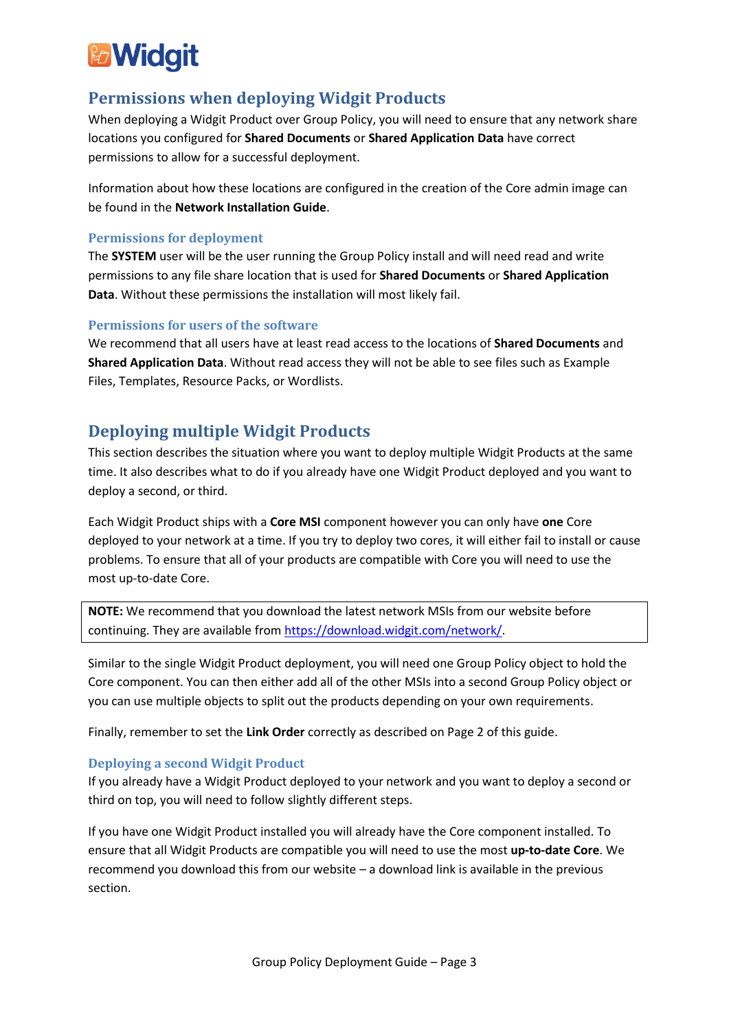

# **Permissions when deploying Widgit Products**

When deploying a Widgit Product over Group Policy, you will need to ensure that any network share locations you configured for **Shared Documents** or **Shared Application Data** have correct permissions to allow for a successful deployment.

Information about how these locations are configured in the creation of the Core admin image can be found in the **Network Installation Guide**.

## **Permissions for deployment**

The **SYSTEM** user will be the user running the Group Policy install and will need read and write permissions to any file share location that is used for **Shared Documents** or **Shared Application Data**. Without these permissions the installation will most likely fail.

### **Permissions for users of the software**

We recommend that all users have at least read access to the locations of **Shared Documents** and **Shared Application Data**. Without read access they will not be able to see files such as Example Files, Templates, Resource Packs, or Wordlists.

## **Deploying multiple Widgit Products**

This section describes the situation where you want to deploy multiple Widgit Products at the same time. It also describes what to do if you already have one Widgit Product deployed and you want to deploy a second, or third.

Each Widgit Product ships with a **Core MSI** component however you can only have **one** Core deployed to your network at a time. If you try to deploy two cores, it will either fail to install or cause problems. To ensure that all of your products are compatible with Core you will need to use the most up-to-date Core.

**NOTE:** We recommend that you download the latest network MSIs from our website before continuing. They are available from [https://download.widgit.com/network/.](https://download.widgit.com/network/)

Similar to the single Widgit Product deployment, you will need one Group Policy object to hold the Core component. You can then either add all of the other MSIs into a second Group Policy object or you can use multiple objects to split out the products depending on your own requirements.

Finally, remember to set the **Link Order** correctly as described on Page 2 of this guide.

## **Deploying a second Widgit Product**

If you already have a Widgit Product deployed to your network and you want to deploy a second or third on top, you will need to follow slightly different steps.

If you have one Widgit Product installed you will already have the Core component installed. To ensure that all Widgit Products are compatible you will need to use the most **up-to-date Core**. We recommend you download this from our website – a download link is available in the previous section.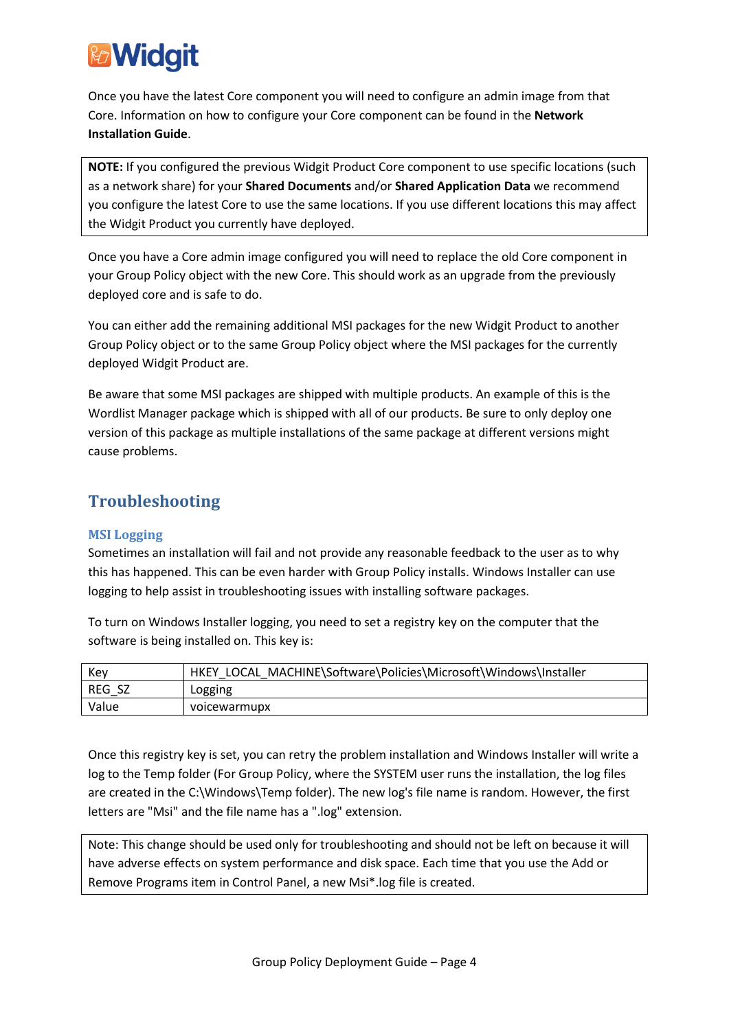

Once you have the latest Core component you will need to configure an admin image from that Core. Information on how to configure your Core component can be found in the **Network Installation Guide**.

**NOTE:** If you configured the previous Widgit Product Core component to use specific locations (such as a network share) for your **Shared Documents** and/or **Shared Application Data** we recommend you configure the latest Core to use the same locations. If you use different locations this may affect the Widgit Product you currently have deployed.

Once you have a Core admin image configured you will need to replace the old Core component in your Group Policy object with the new Core. This should work as an upgrade from the previously deployed core and is safe to do.

You can either add the remaining additional MSI packages for the new Widgit Product to another Group Policy object or to the same Group Policy object where the MSI packages for the currently deployed Widgit Product are.

Be aware that some MSI packages are shipped with multiple products. An example of this is the Wordlist Manager package which is shipped with all of our products. Be sure to only deploy one version of this package as multiple installations of the same package at different versions might cause problems.

# **Troubleshooting**

## **MSI Logging**

Sometimes an installation will fail and not provide any reasonable feedback to the user as to why this has happened. This can be even harder with Group Policy installs. Windows Installer can use logging to help assist in troubleshooting issues with installing software packages.

To turn on Windows Installer logging, you need to set a registry key on the computer that the software is being installed on. This key is:

| Kev    | HKEY LOCAL MACHINE\Software\Policies\Microsoft\Windows\Installer |
|--------|------------------------------------------------------------------|
| REG SZ | Logging                                                          |
| Value  | voicewarmupx                                                     |

Once this registry key is set, you can retry the problem installation and Windows Installer will write a log to the Temp folder (For Group Policy, where the SYSTEM user runs the installation, the log files are created in the C:\Windows\Temp folder). The new log's file name is random. However, the first letters are "Msi" and the file name has a ".log" extension.

Note: This change should be used only for troubleshooting and should not be left on because it will have adverse effects on system performance and disk space. Each time that you use the Add or Remove Programs item in Control Panel, a new Msi\*.log file is created.